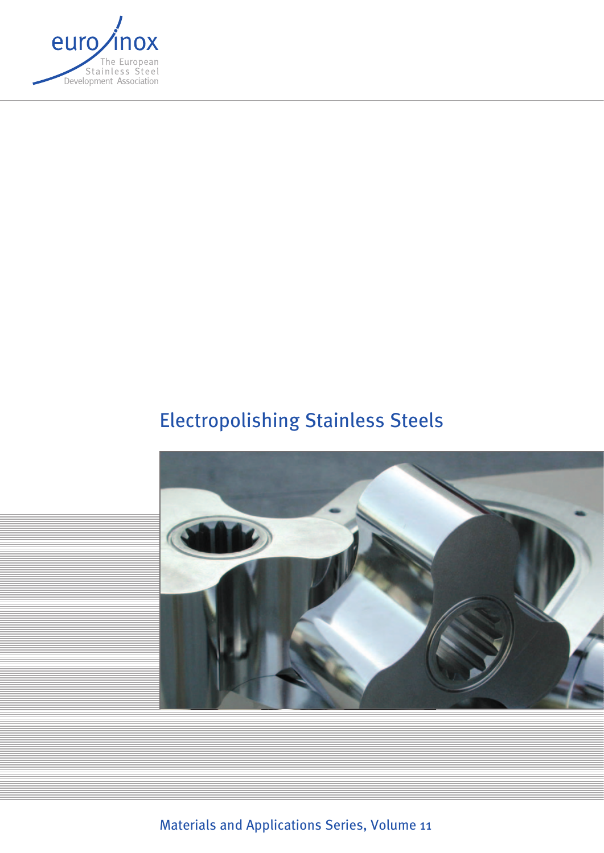

# Electropolishing Stainless Steels



Materials and Applications Series, Volume 11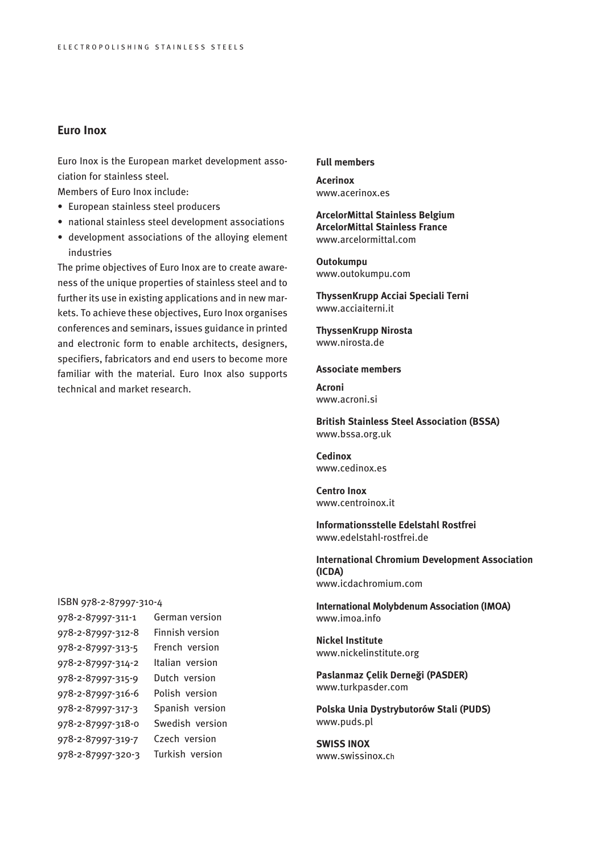# **Euro Inox**

Euro Inox is the European market development association for stainless steel.

Members of Euro Inox include:

- European stainless steel producers
- national stainless steel development associations
- development associations of the alloying element industries

The prime objectives of Euro Inox are to create awareness of the unique properties of stainless steel and to further its use in existing applications and in new markets. To achieve these objectives, Euro Inox organises conferences and seminars, issues guidance in printed and electronic form to enable architects, designers, specifiers, fabricators and end users to become more familiar with the material. Euro Inox also supports technical and market research.

#### **Full members**

**Acerinox** www.acerinox.es

## **ArcelorMittal Stainless Belgium ArcelorMittal Stainless France** www.arcelormittal.com

**Outokumpu** www.outokumpu.com

**ThyssenKrupp Acciai Speciali Terni** www.acciaiterni.it

**ThyssenKrupp Nirosta** www.nirosta.de

#### **Associate members**

**Acroni** www.acroni.si

**British Stainless Steel Association (BSSA)** www.bssa.org.uk

**Cedinox** www.cedinox.es

**Centro Inox** www.centroinox.it

**Informationsstelle Edelstahl Rostfrei** www.edelstahl-rostfrei.de

**International Chromium Development Association (ICDA)** www.icdachromium.com

**International Molybdenum Association (IMOA)** www.imoa.info

**Nickel Institute**  www.nickelinstitute.org

**Paslanmaz Çelik Derneği (PASDER)** www.turkpasder.com

**Polska Unia Dystrybutorów Stali (PUDS)** www.puds.pl

**SWISS INOX** www.swissinox.ch

#### ISBN 978-2-87997-310-4

| 978-2-87997-311-1 | German version  |
|-------------------|-----------------|
| 978-2-87997-312-8 | Finnish version |
| 978-2-87997-313-5 | French version  |
| 978-2-87997-314-2 | Italian version |
| 978-2-87997-315-9 | Dutch version   |
| 978-2-87997-316-6 | Polish version  |
| 978-2-87997-317-3 | Spanish version |
| 978-2-87997-318-0 | Swedish version |
| 978-2-87997-319-7 | Czech version   |
| 978-2-87997-320-3 | Turkish version |
|                   |                 |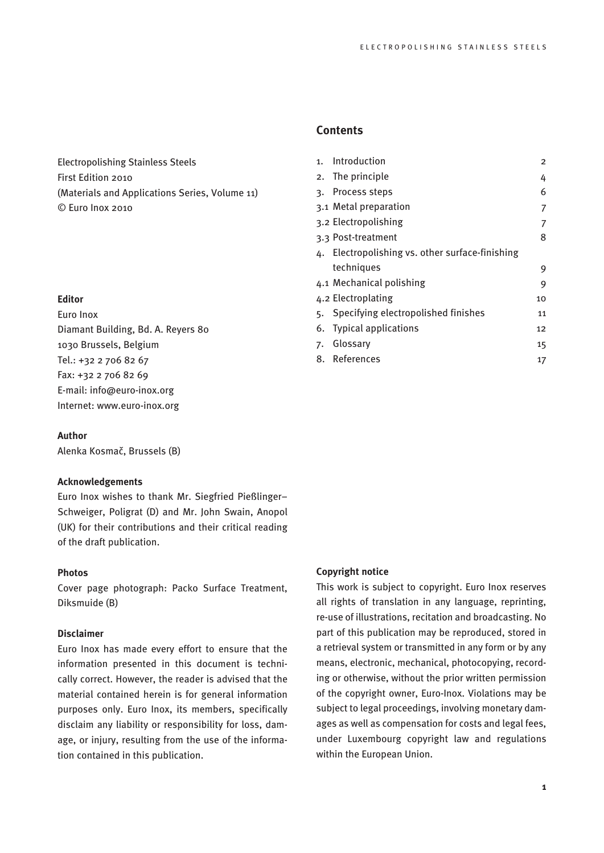Electropolishing Stainless Steels First Edition 2010 (Materials and Applications Series, Volume 11) © Euro Inox 2010

## **Editor**

Euro Inox Diamant Building, Bd. A. Reyers 80 1030 Brussels, Belgium Tel.: +32 2 706 82 67 Fax: +32 2 706 82 69 E-mail: info@euro-inox.org Internet: www.euro-inox.org

## **Author**

Alenka Kosmač, Brussels (B)

## **Acknowledgements**

Euro Inox wishes to thank Mr. Siegfried Pießlinger– Schweiger, Poligrat (D) and Mr. John Swain, Anopol (UK) for their contributions and their critical reading of the draft publication.

# **Photos**

Cover page photograph: Packo Surface Treatment, Diksmuide (B)

#### **Disclaimer**

Euro Inox has made every effort to ensure that the information presented in this document is technically correct. However, the reader is advised that the material contained herein is for general information purposes only. Euro Inox, its members, specifically disclaim any liability or responsibility for loss, damage, or injury, resulting from the use of the information contained in this publication.

# **Contents**

| 1. | Introduction                                 | $\overline{2}$ |
|----|----------------------------------------------|----------------|
|    | 2. The principle                             | 4              |
|    | 3. Process steps                             | 6              |
|    | 3.1 Metal preparation                        | 7              |
|    | 3.2 Electropolishing                         | 7              |
|    | 3.3 Post-treatment                           | 8              |
| 4. | Electropolishing vs. other surface-finishing |                |
|    | techniques                                   | 9              |
|    | 4.1 Mechanical polishing                     | 9              |
|    | 4.2 Electroplating                           | 10             |
|    | 5. Specifying electropolished finishes       | 11             |
| 6. | <b>Typical applications</b>                  | 12             |
| 7. | Glossary                                     | 15             |
| 8. | References                                   | 17             |

### **Copyright notice**

This work is subject to copyright. Euro Inox reserves all rights of translation in any language, reprinting, re-use of illustrations, recitation and broadcasting. No part of this publication may be reproduced, stored in a retrieval system or transmitted in any form or by any means, electronic, mechanical, photocopying, recording or otherwise, without the prior written permission of the copyright owner, Euro-Inox. Violations may be subject to legal proceedings, involving monetary damages as well as compensation for costs and legal fees, under Luxembourg copyright law and regulations within the European Union.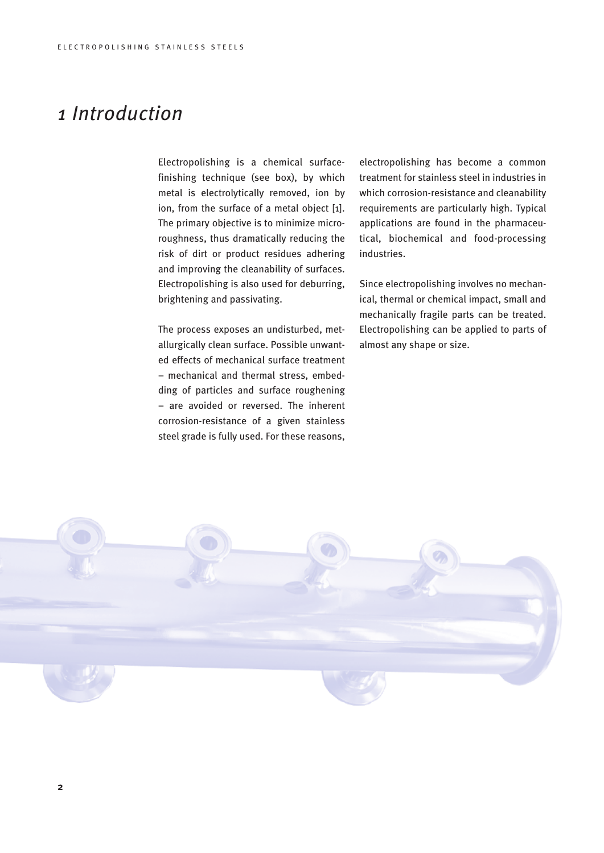# *1 Introduction*

Electropolishing is a chemical surfacefinishing technique (see box), by which metal is electrolytically removed, ion by ion, from the surface of a metal object [1]. The primary objective is to minimize microroughness, thus dramatically reducing the risk of dirt or product residues adhering and improving the cleanability of surfaces. Electropolishing is also used for deburring, brightening and passivating.

The process exposes an undisturbed, metallurgically clean surface. Possible unwanted effects of mechanical surface treatment – mechanical and thermal stress, embedding of particles and surface roughening – are avoided or reversed. The inherent corrosion-resistance of a given stainless steel grade is fully used. For these reasons,

electropolishing has become a common treatment for stainless steel in industries in which corrosion-resistance and cleanability requirements are particularly high. Typical applications are found in the pharmaceutical, biochemical and food-processing industries.

Since electropolishing involves no mechanical, thermal or chemical impact, small and mechanically fragile parts can be treated. Electropolishing can be applied to parts of almost any shape or size.

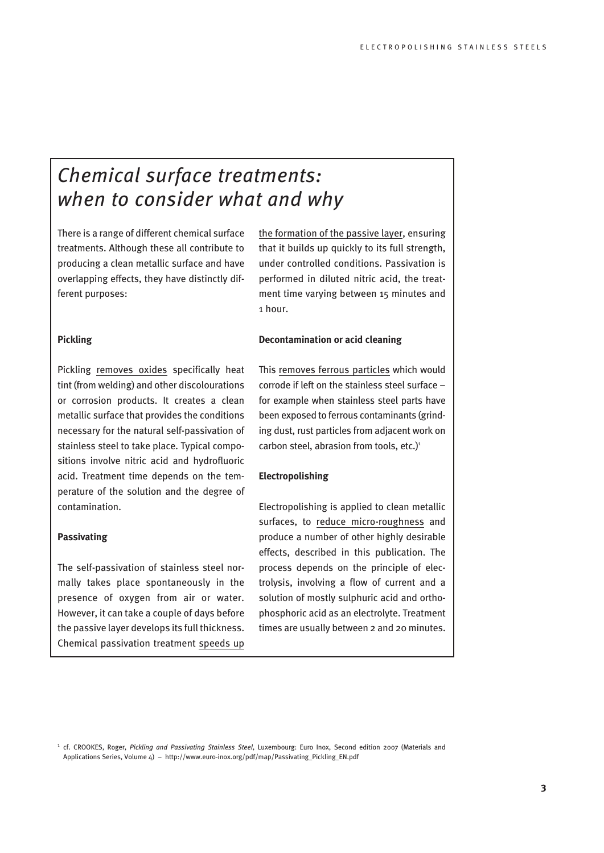# *Chemical surface treatments: when to consider what and why*

There is a range of different chemical surface treatments. Although these all contribute to producing a clean metallic surface and have overlapping effects, they have distinctly different purposes:

## **Pickling**

Pickling removes oxides specifically heat tint (from welding) and other discolourations or corrosion products. It creates a clean metallic surface that provides the conditions necessary for the natural self-passivation of stainless steel to take place. Typical compositions involve nitric acid and hydrofluoric acid. Treatment time depends on the temperature of the solution and the degree of contamination.

# **Passivating**

The self-passivation of stainless steel normally takes place spontaneously in the presence of oxygen from air or water. However, it can take a couple of days before the passive layer develops its full thickness. Chemical passivation treatment speeds up the formation of the passive layer, ensuring that it builds up quickly to its full strength, under controlled conditions. Passivation is performed in diluted nitric acid, the treatment time varying between 15 minutes and 1 hour.

## **Decontamination or acid cleaning**

This removes ferrous particles which would corrode if left on the stainless steel surface – for example when stainless steel parts have been exposed to ferrous contaminants (grinding dust, rust particles from adjacent work on carbon steel, abrasion from tools, etc.) $1$ 

#### **Electropolishing**

Electropolishing is applied to clean metallic surfaces, to reduce micro-roughness and produce a number of other highly desirable effects, described in this publication. The process depends on the principle of electrolysis, involving a flow of current and a solution of mostly sulphuric acid and orthophosphoric acid as an electrolyte. Treatment times are usually between 2 and 20 minutes.

<sup>1</sup> cf. CROOKES, Roger, *Pickling and Passivating Stainless Steel*, Luxembourg: Euro Inox, Second edition 2007 (Materials and Applications Series, Volume 4) – http://www.euro-inox.org/pdf/map/Passivating\_Pickling\_EN.pdf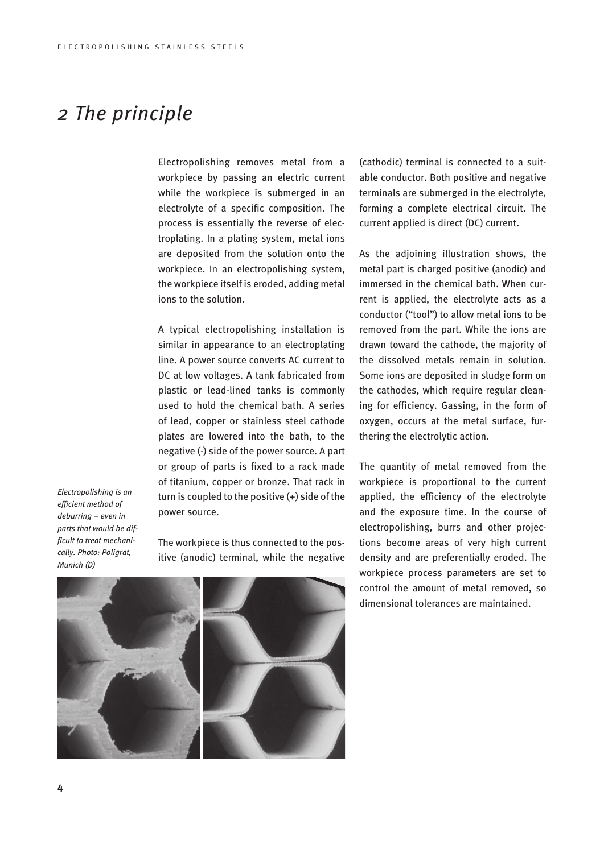# *2 The principle*

Electropolishing removes metal from a workpiece by passing an electric current while the workpiece is submerged in an electrolyte of a specific composition. The process is essentially the reverse of electroplating. In a plating system, metal ions are deposited from the solution onto the workpiece. In an electropolishing system, the workpiece itself is eroded, adding metal ions to the solution.

A typical electropolishing installation is similar in appearance to an electroplating line. A power source converts AC current to DC at low voltages. A tank fabricated from plastic or lead-lined tanks is commonly used to hold the chemical bath. A series of lead, copper or stainless steel cathode plates are lowered into the bath, to the negative (-) side of the power source. A part or group of parts is fixed to a rack made of titanium, copper or bronze. That rack in turn is coupled to the positive (+) side of the power source.

*Electropolishing is an efficient method of deburring – even in parts that would be difficult to treat mechanically. Photo: Poligrat, Munich (D)*

The workpiece is thus connected to the positive (anodic) terminal, while the negative (cathodic) terminal is connected to a suitable conductor. Both positive and negative terminals are submerged in the electrolyte, forming a complete electrical circuit. The current applied is direct (DC) current.

As the adjoining illustration shows, the metal part is charged positive (anodic) and immersed in the chemical bath. When current is applied, the electrolyte acts as a conductor ("tool") to allow metal ions to be removed from the part. While the ions are drawn toward the cathode, the majority of the dissolved metals remain in solution. Some ions are deposited in sludge form on the cathodes, which require regular cleaning for efficiency. Gassing, in the form of oxygen, occurs at the metal surface, furthering the electrolytic action.

The quantity of metal removed from the workpiece is proportional to the current applied, the efficiency of the electrolyte and the exposure time. In the course of electropolishing, burrs and other projections become areas of very high current density and are preferentially eroded. The workpiece process parameters are set to control the amount of metal removed, so dimensional tolerances are maintained.

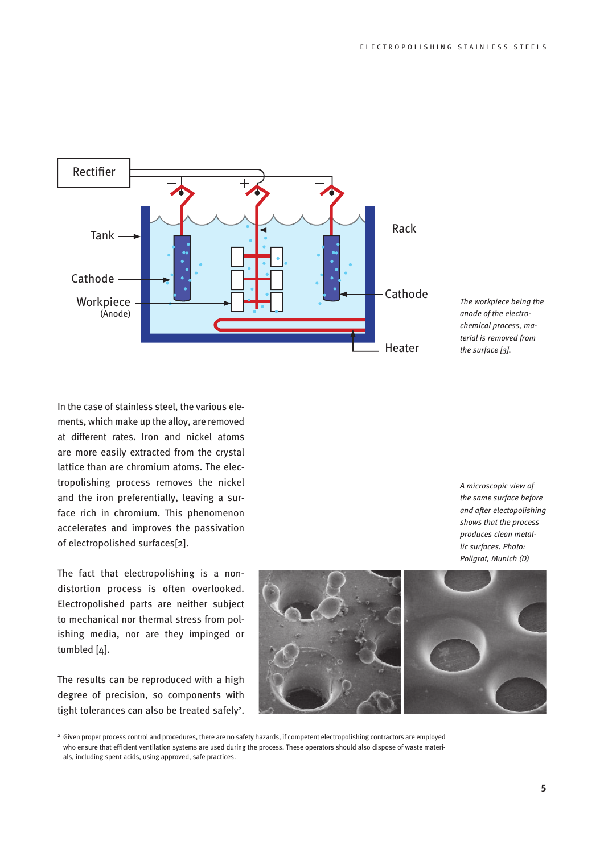

*The workpiece being the anode of the electrochemical process, material is removed from the surface [3].*

In the case of stainless steel, the various elements, which make up the alloy, are removed at different rates. Iron and nickel atoms are more easily extracted from the crystal lattice than are chromium atoms. The electropolishing process removes the nickel and the iron preferentially, leaving a surface rich in chromium. This phenomenon accelerates and improves the passivation of electropolished surfaces[2].

The fact that electropolishing is a nondistortion process is often overlooked. Electropolished parts are neither subject to mechanical nor thermal stress from polishing media, nor are they impinged or tumbled [4].

The results can be reproduced with a high degree of precision, so components with tight tolerances can also be treated safely<sup>2</sup>.



*A microscopic view of* 



<sup>2</sup> Given proper process control and procedures, there are no safety hazards, if competent electropolishing contractors are employed who ensure that efficient ventilation systems are used during the process. These operators should also dispose of waste materials, including spent acids, using approved, safe practices.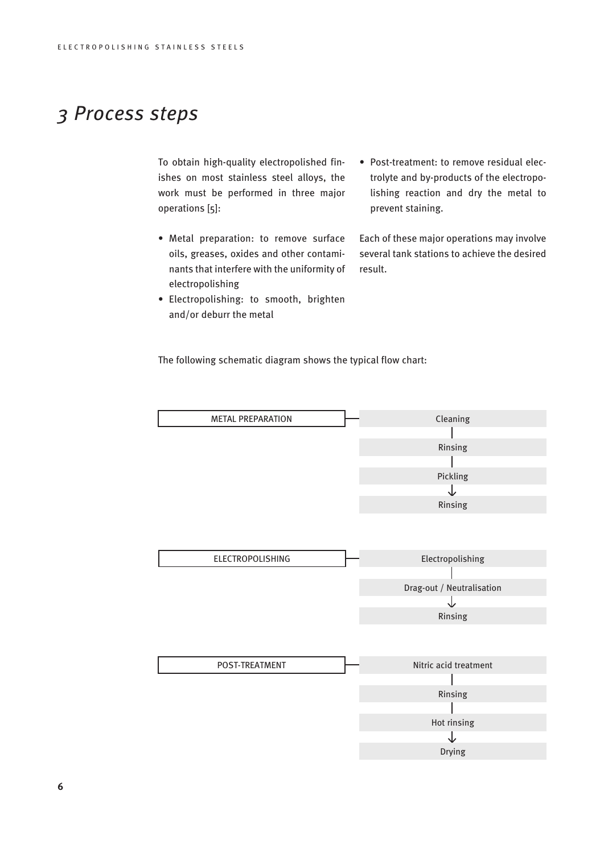# *3 Process steps*

To obtain high-quality electropolished finishes on most stainless steel alloys, the work must be performed in three major operations [5]:

- Metal preparation: to remove surface oils, greases, oxides and other contaminants that interfere with the uniformity of electropolishing
- Electropolishing: to smooth, brighten and/or deburr the metal
- Post-treatment: to remove residual electrolyte and by-products of the electropolishing reaction and dry the metal to prevent staining.

Each of these major operations may involve several tank stations to achieve the desired result.

The following schematic diagram shows the typical flow chart:

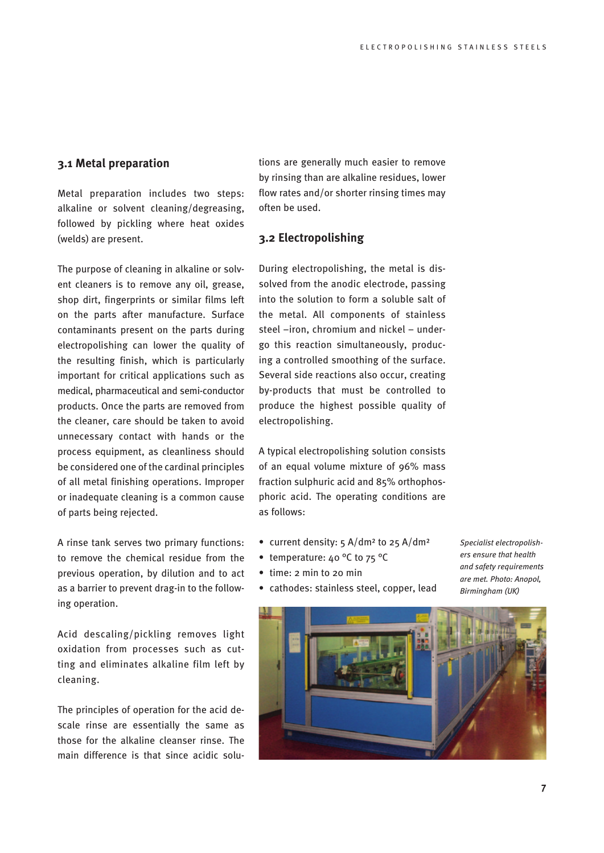# **3.1 Metal preparation**

Metal preparation includes two steps: alkaline or solvent cleaning/degreasing, followed by pickling where heat oxides (welds) are present.

The purpose of cleaning in alkaline or solvent cleaners is to remove any oil, grease, shop dirt, fingerprints or similar films left on the parts after manufacture. Surface contaminants present on the parts during electropolishing can lower the quality of the resulting finish, which is particularly important for critical applications such as medical, pharmaceutical and semi-conductor products. Once the parts are removed from the cleaner, care should be taken to avoid unnecessary contact with hands or the process equipment, as cleanliness should be considered one of the cardinal principles of all metal finishing operations. Improper or inadequate cleaning is a common cause of parts being rejected.

A rinse tank serves two primary functions: to remove the chemical residue from the previous operation, by dilution and to act as a barrier to prevent drag-in to the following operation.

Acid descaling/pickling removes light oxidation from processes such as cutting and eliminates alkaline film left by cleaning.

The principles of operation for the acid descale rinse are essentially the same as those for the alkaline cleanser rinse. The main difference is that since acidic solutions are generally much easier to remove by rinsing than are alkaline residues, lower flow rates and/or shorter rinsing times may often be used.

# **3.2 Electropolishing**

During electropolishing, the metal is dissolved from the anodic electrode, passing into the solution to form a soluble salt of the metal. All components of stainless steel –iron, chromium and nickel – undergo this reaction simultaneously, producing a controlled smoothing of the surface. Several side reactions also occur, creating by-products that must be controlled to produce the highest possible quality of electropolishing.

A typical electropolishing solution consists of an equal volume mixture of 96% mass fraction sulphuric acid and 85% orthophosphoric acid. The operating conditions are as follows:

- current density:  $5 \text{ A}/\text{dm}^2$  to  $25 \text{ A}/\text{dm}^2$
- temperature: 40 °C to 75 °C
- time: 2 min to 20 min
- cathodes: stainless steel, copper, lead

*Specialist electropolishers ensure that health and safety requirements are met. Photo: Anopol, Birmingham (UK)*

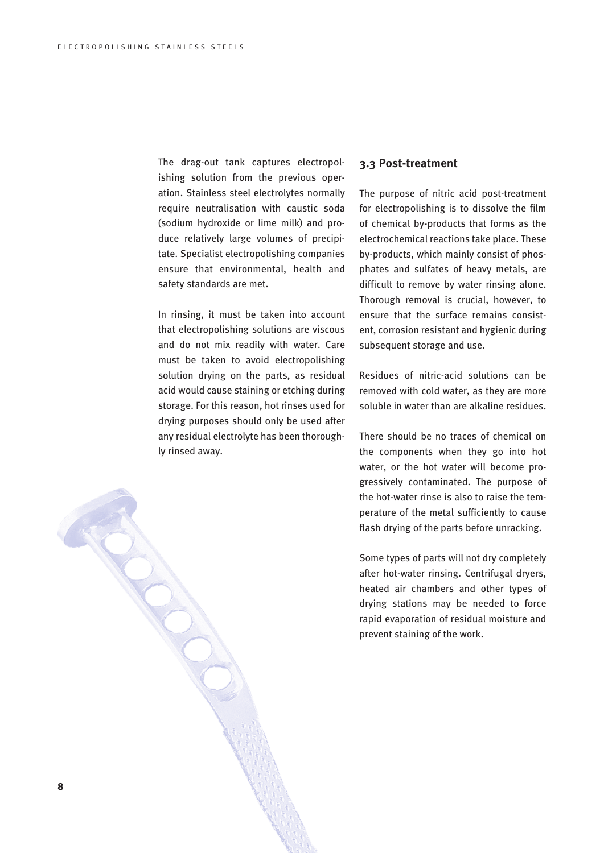The drag-out tank captures electropolishing solution from the previous operation. Stainless steel electrolytes normally require neutralisation with caustic soda (sodium hydroxide or lime milk) and produce relatively large volumes of precipitate. Specialist electropolishing companies ensure that environmental, health and safety standards are met.

In rinsing, it must be taken into account that electropolishing solutions are viscous and do not mix readily with water. Care must be taken to avoid electropolishing solution drying on the parts, as residual acid would cause staining or etching during storage. For this reason, hot rinses used for drying purposes should only be used after any residual electrolyte has been thoroughly rinsed away.

## **3.3 Post-treatment**

The purpose of nitric acid post-treatment for electropolishing is to dissolve the film of chemical by-products that forms as the electrochemical reactions take place. These by-products, which mainly consist of phosphates and sulfates of heavy metals, are difficult to remove by water rinsing alone. Thorough removal is crucial, however, to ensure that the surface remains consistent, corrosion resistant and hygienic during subsequent storage and use.

Residues of nitric-acid solutions can be removed with cold water, as they are more soluble in water than are alkaline residues.

There should be no traces of chemical on the components when they go into hot water, or the hot water will become progressively contaminated. The purpose of the hot-water rinse is also to raise the temperature of the metal sufficiently to cause flash drying of the parts before unracking.

Some types of parts will not dry completely after hot-water rinsing. Centrifugal dryers, heated air chambers and other types of drying stations may be needed to force rapid evaporation of residual moisture and prevent staining of the work.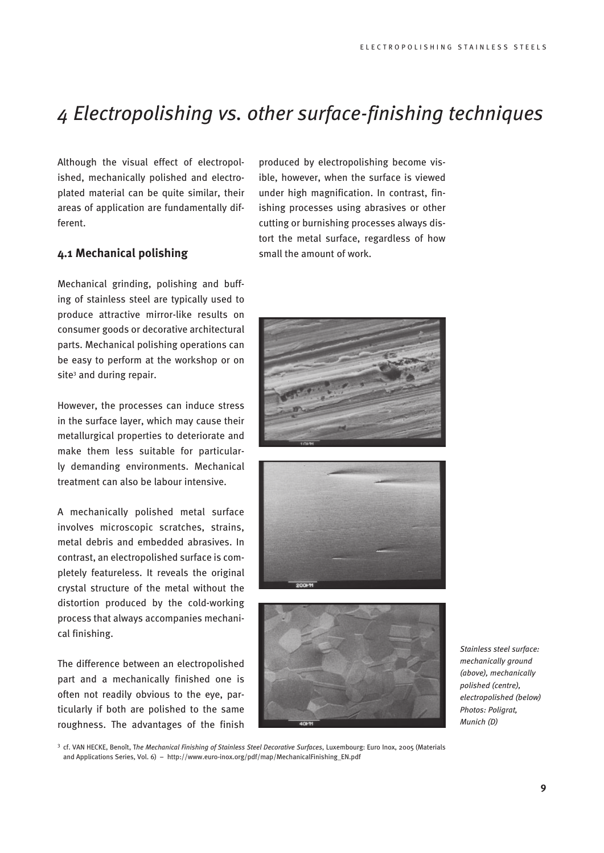# *4 Electropolishing vs. other surface-finishing techniques*

Although the visual effect of electropolished, mechanically polished and electroplated material can be quite similar, their areas of application are fundamentally different.

# **4.1 Mechanical polishing**

Mechanical grinding, polishing and buffing of stainless steel are typically used to produce attractive mirror-like results on consumer goods or decorative architectural parts. Mechanical polishing operations can be easy to perform at the workshop or on site<sup>3</sup> and during repair.

However, the processes can induce stress in the surface layer, which may cause their metallurgical properties to deteriorate and make them less suitable for particularly demanding environments. Mechanical treatment can also be labour intensive.

A mechanically polished metal surface involves microscopic scratches, strains, metal debris and embedded abrasives. In contrast, an electropolished surface is completely featureless. It reveals the original crystal structure of the metal without the distortion produced by the cold-working process that always accompanies mechanical finishing.

The difference between an electropolished part and a mechanically finished one is often not readily obvious to the eye, particularly if both are polished to the same roughness. The advantages of the finish

produced by electropolishing become visible, however, when the surface is viewed under high magnification. In contrast, finishing processes using abrasives or other cutting or burnishing processes always distort the metal surface, regardless of how small the amount of work.







*Stainless steel surface: mechanically ground (above), mechanically polished (centre), electropolished (below) Photos: Poligrat, Munich (D)*

<sup>3</sup> cf. VAN HECKE, Benoît, T*he Mechanical Finishing of Stainless Steel Decorative Surfaces*, Luxembourg: Euro Inox, 2005 (Materials and Applications Series, Vol. 6) – http://www.euro-inox.org/pdf/map/MechanicalFinishing\_EN.pdf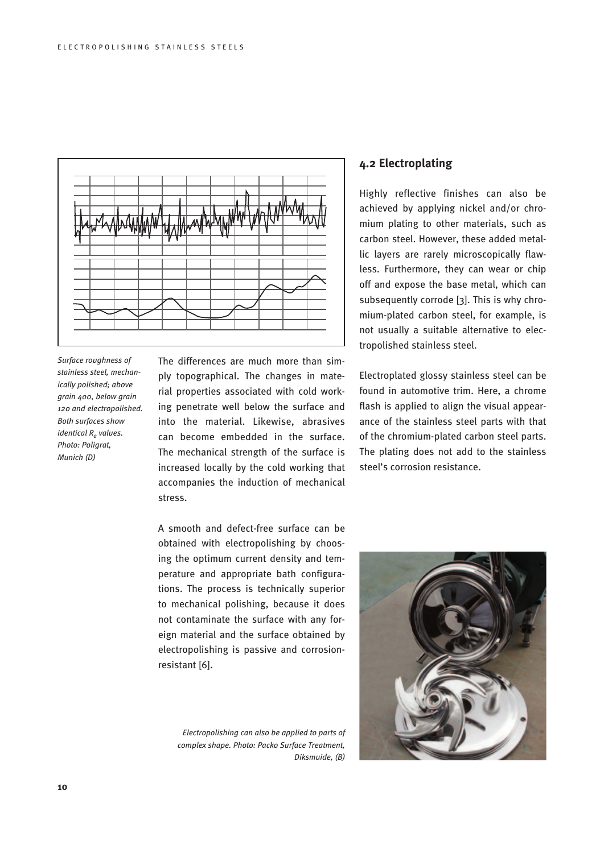

*Surface roughness of stainless steel, mechanically polished; above grain 400, below grain 120 and electropolished. Both surfaces show identical Ra values. Photo: Poligrat, Munich (D)*

The differences are much more than simply topographical. The changes in material properties associated with cold working penetrate well below the surface and into the material. Likewise, abrasives can become embedded in the surface. The mechanical strength of the surface is increased locally by the cold working that accompanies the induction of mechanical stress.

A smooth and defect-free surface can be obtained with electropolishing by choosing the optimum current density and temperature and appropriate bath configurations. The process is technically superior to mechanical polishing, because it does not contaminate the surface with any foreign material and the surface obtained by electropolishing is passive and corrosionresistant [6].

*Electropolishing can also be applied to parts of complex shape. Photo: Packo Surface Treatment, Diksmuide, (B)*

# **4.2 Electroplating**

Highly reflective finishes can also be achieved by applying nickel and/or chromium plating to other materials, such as carbon steel. However, these added metallic layers are rarely microscopically flawless. Furthermore, they can wear or chip off and expose the base metal, which can subsequently corrode [3]. This is why chromium-plated carbon steel, for example, is not usually a suitable alternative to electropolished stainless steel.

Electroplated glossy stainless steel can be found in automotive trim. Here, a chrome flash is applied to align the visual appearance of the stainless steel parts with that of the chromium-plated carbon steel parts. The plating does not add to the stainless steel's corrosion resistance.

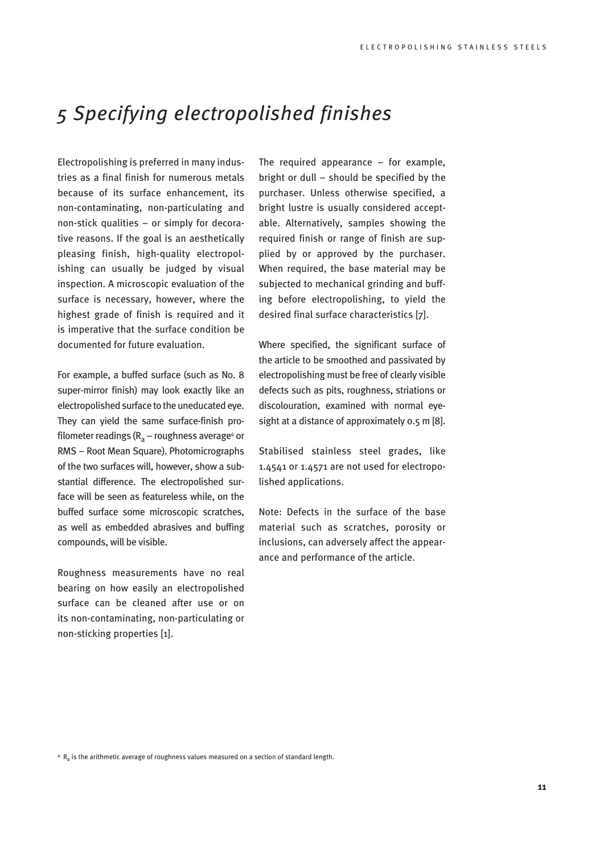# *5 Specifying electropolished finishes*

Electropolishing is preferred in many industries as a final finish for numerous metals because of its surface enhancement, its non-contaminating, non-particulating and non-stick qualities – or simply for decorative reasons. If the goal is an aesthetically pleasing finish, high-quality electropolishing can usually be judged by visual inspection. A microscopic evaluation of the surface is necessary, however, where the highest grade of finish is required and it is imperative that the surface condition be documented for future evaluation.

For example, a buffed surface (such as No. 8 super-mirror finish) may look exactly like an electropolished surface to the uneducated eye. They can yield the same surface-finish profilometer readings (R<sub>a</sub> – roughness average<sup>4</sup> or RMS – Root Mean Square). Photomicrographs of the two surfaces will, however, show a substantial difference. The electropolished surface will be seen as featureless while, on the buffed surface some microscopic scratches, as well as embedded abrasives and buffing compounds, will be visible.

Roughness measurements have no real bearing on how easily an electropolished surface can be cleaned after use or on its non-contaminating, non-particulating or non-sticking properties [1].

The required appearance – for example, bright or dull – should be specified by the purchaser. Unless otherwise specified, a bright lustre is usually considered acceptable. Alternatively, samples showing the required finish or range of finish are supplied by or approved by the purchaser. When required, the base material may be subjected to mechanical grinding and buffing before electropolishing, to yield the desired final surface characteristics [7].

Where specified, the significant surface of the article to be smoothed and passivated by electropolishing must be free of clearly visible defects such as pits, roughness, striations or discolouration, examined with normal eyesight at a distance of approximately 0.5 m [8].

Stabilised stainless steel grades, like 1.4541 or 1.4571 are not used for electropolished applications.

Note: Defects in the surface of the base material such as scratches, porosity or inclusions, can adversely affect the appearance and performance of the article.

 $4 R<sub>2</sub>$  is the arithmetic average of roughness values measured on a section of standard length.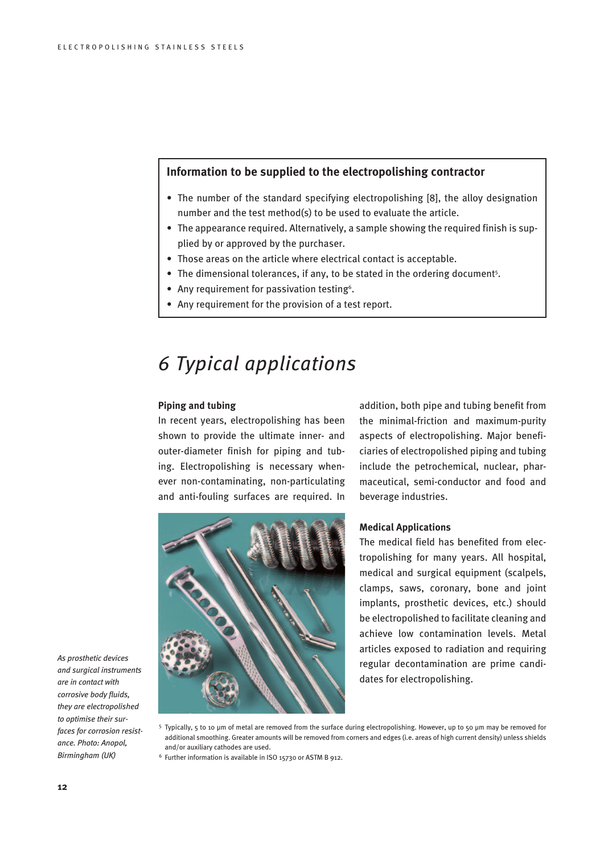# **Information to be supplied to the electropolishing contractor**

- The number of the standard specifying electropolishing [8], the alloy designation number and the test method(s) to be used to evaluate the article.
- The appearance required. Alternatively, a sample showing the required finish is supplied by or approved by the purchaser.
- Those areas on the article where electrical contact is acceptable.
- The dimensional tolerances, if any, to be stated in the ordering document<sup>5</sup>.
- Any requirement for passivation testing<sup>6</sup>.
- Any requirement for the provision of a test report.

# *6 Typical applications*

## **Piping and tubing**

In recent years, electropolishing has been shown to provide the ultimate inner- and outer-diameter finish for piping and tubing. Electropolishing is necessary whenever non-contaminating, non-particulating and anti-fouling surfaces are required. In



addition, both pipe and tubing benefit from the minimal-friction and maximum-purity aspects of electropolishing. Major beneficiaries of electropolished piping and tubing include the petrochemical, nuclear, pharmaceutical, semi-conductor and food and beverage industries.

## **Medical Applications**

The medical field has benefited from electropolishing for many years. All hospital, medical and surgical equipment (scalpels, clamps, saws, coronary, bone and joint implants, prosthetic devices, etc.) should be electropolished to facilitate cleaning and achieve low contamination levels. Metal articles exposed to radiation and requiring regular decontamination are prime candidates for electropolishing.

*corrosive body fluids, they are electropolished to optimise their surfaces for corrosion resistance. Photo: Anopol, Birmingham (UK)*

*As prosthetic devices and surgical instruments are in contact with* 

<sup>5</sup> Typically, 5 to 10 μm of metal are removed from the surface during electropolishing. However, up to 50 μm may be removed for additional smoothing. Greater amounts will be removed from corners and edges (i.e. areas of high current density) unless shields and/or auxiliary cathodes are used.

<sup>6</sup> Further information is available in ISO 15730 or ASTM B 912.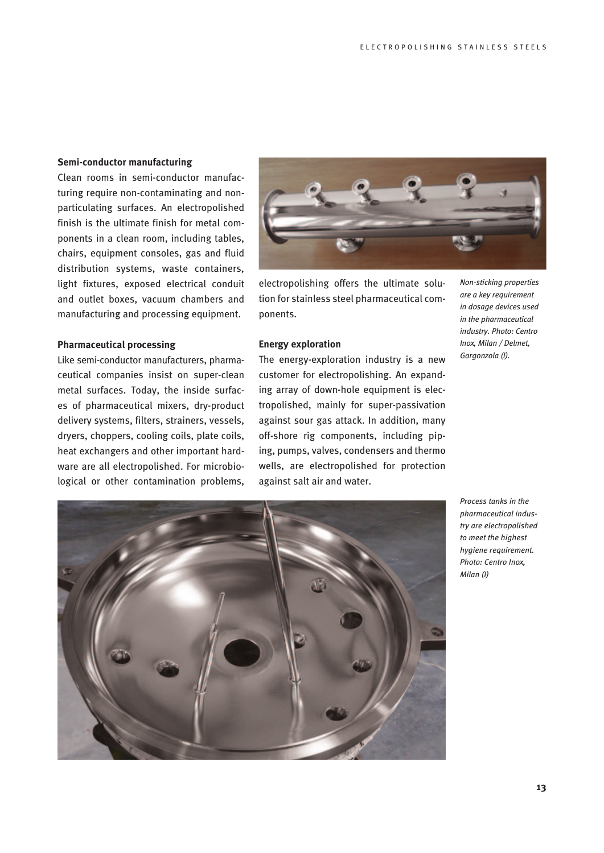## **Semi-conductor manufacturing**

Clean rooms in semi-conductor manufacturing require non-contaminating and nonparticulating surfaces. An electropolished finish is the ultimate finish for metal components in a clean room, including tables, chairs, equipment consoles, gas and fluid distribution systems, waste containers, light fixtures, exposed electrical conduit and outlet boxes, vacuum chambers and manufacturing and processing equipment.

## **Pharmaceutical processing**

Like semi-conductor manufacturers, pharmaceutical companies insist on super-clean metal surfaces. Today, the inside surfaces of pharmaceutical mixers, dry-product delivery systems, filters, strainers, vessels, dryers, choppers, cooling coils, plate coils, heat exchangers and other important hardware are all electropolished. For microbiological or other contamination problems,



electropolishing offers the ultimate solution for stainless steel pharmaceutical components.

## **Energy exploration**

The energy-exploration industry is a new customer for electropolishing. An expanding array of down-hole equipment is electropolished, mainly for super-passivation against sour gas attack. In addition, many off-shore rig components, including piping, pumps, valves, condensers and thermo wells, are electropolished for protection against salt air and water.

*Non-sticking properties are a key requirement in dosage devices used in the pharmaceutical industry. Photo: Centro Inox, Milan / Delmet, Gorgonzola (I).*



*Process tanks in the pharmaceutical industry are electropolished to meet the highest hygiene requirement. Photo: Centro Inox, Milan (I)*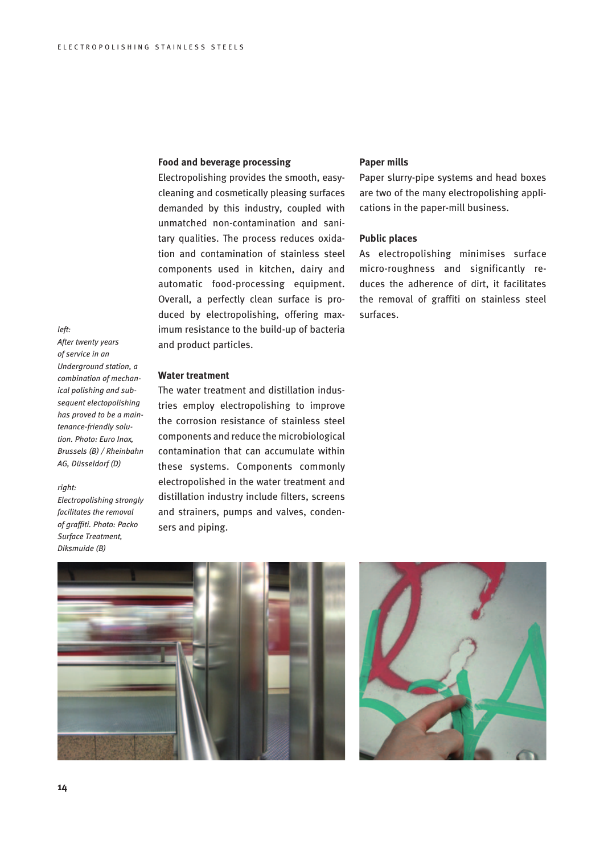## **Food and beverage processing**

Electropolishing provides the smooth, easycleaning and cosmetically pleasing surfaces demanded by this industry, coupled with unmatched non-contamination and sanitary qualities. The process reduces oxidation and contamination of stainless steel components used in kitchen, dairy and automatic food-processing equipment. Overall, a perfectly clean surface is produced by electropolishing, offering maximum resistance to the build-up of bacteria and product particles.

## *left:*

*After twenty years of service in an Underground station, a combination of mechanical polishing and subsequent electopolishing has proved to be a maintenance-friendly solution. Photo: Euro Inox, Brussels (B) / Rheinbahn AG, Düsseldorf (D)*

#### *right:*

*Electropolishing strongly facilitates the removal of graffiti. Photo: Packo Surface Treatment, Diksmuide (B)*

## **Water treatment**

The water treatment and distillation industries employ electropolishing to improve the corrosion resistance of stainless steel components and reduce the microbiological contamination that can accumulate within these systems. Components commonly electropolished in the water treatment and distillation industry include filters, screens and strainers, pumps and valves, condensers and piping.

## **Paper mills**

Paper slurry-pipe systems and head boxes are two of the many electropolishing applications in the paper-mill business.

## **Public places**

As electropolishing minimises surface micro-roughness and significantly reduces the adherence of dirt, it facilitates the removal of graffiti on stainless steel surfaces.



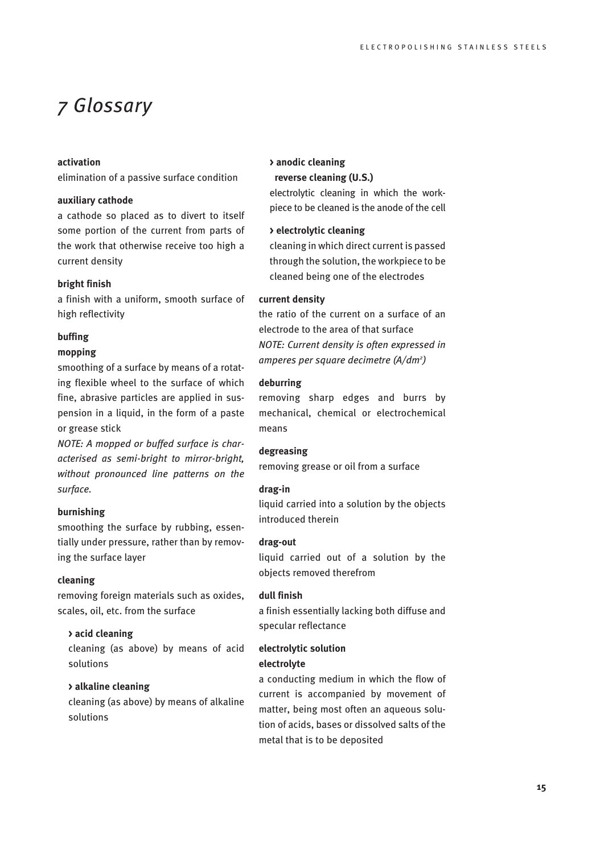# *7 Glossary*

# **activation**

elimination of a passive surface condition

## **auxiliary cathode**

a cathode so placed as to divert to itself some portion of the current from parts of the work that otherwise receive too high a current density

## **bright finish**

a finish with a uniform, smooth surface of high reflectivity

### **buffing**

### **mopping**

smoothing of a surface by means of a rotating flexible wheel to the surface of which fine, abrasive particles are applied in suspension in a liquid, in the form of a paste or grease stick

*NOTE: A mopped or buffed surface is characterised as semi-bright to mirror-bright, without pronounced line patterns on the surface.*

# **burnishing**

smoothing the surface by rubbing, essentially under pressure, rather than by removing the surface layer

# **cleaning**

removing foreign materials such as oxides, scales, oil, etc. from the surface

## **> acid cleaning**

cleaning (as above) by means of acid solutions

## **> alkaline cleaning**

cleaning (as above) by means of alkaline solutions

# **> anodic cleaning**

# **reverse cleaning (U.S.)**

electrolytic cleaning in which the workpiece to be cleaned is the anode of the cell

# **> electrolytic cleaning**

cleaning in which direct current is passed through the solution, the workpiece to be cleaned being one of the electrodes

## **current density**

the ratio of the current on a surface of an electrode to the area of that surface *NOTE: Current density is often expressed in amperes per square decimetre (A/dm2 )*

### **deburring**

removing sharp edges and burrs by mechanical, chemical or electrochemical means

# **degreasing**

removing grease or oil from a surface

### **drag-in**

liquid carried into a solution by the objects introduced therein

## **drag-out**

liquid carried out of a solution by the objects removed therefrom

## **dull finish**

a finish essentially lacking both diffuse and specular reflectance

# **electrolytic solution electrolyte**

a conducting medium in which the flow of current is accompanied by movement of matter, being most often an aqueous solution of acids, bases or dissolved salts of the metal that is to be deposited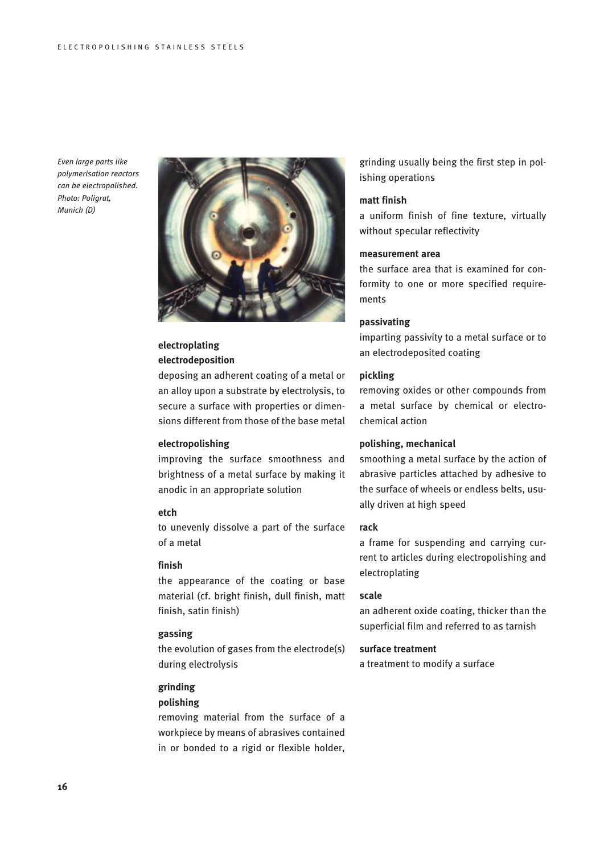*Even large parts like polymerisation reactors can be electropolished. Photo: Poligrat, Munich (D)*



# **electroplating electrodeposition**

deposing an adherent coating of a metal or an alloy upon a substrate by electrolysis, to secure a surface with properties or dimensions different from those of the base metal

## **electropolishing**

improving the surface smoothness and brightness of a metal surface by making it anodic in an appropriate solution

#### **etch**

to unevenly dissolve a part of the surface of a metal

## **finish**

the appearance of the coating or base material (cf. bright finish, dull finish, matt finish, satin finish)

## **gassing**

the evolution of gases from the electrode(s) during electrolysis

### **grinding**

## **polishing**

removing material from the surface of a workpiece by means of abrasives contained in or bonded to a rigid or flexible holder,

grinding usually being the first step in polishing operations

### **matt finish**

a uniform finish of fine texture, virtually without specular reflectivity

# **measurement area**

the surface area that is examined for conformity to one or more specified requirements

## **passivating**

imparting passivity to a metal surface or to an electrodeposited coating

# **pickling**

removing oxides or other compounds from a metal surface by chemical or electrochemical action

# **polishing, mechanical**

smoothing a metal surface by the action of abrasive particles attached by adhesive to the surface of wheels or endless belts, usually driven at high speed

### **rack**

a frame for suspending and carrying current to articles during electropolishing and electroplating

#### **scale**

an adherent oxide coating, thicker than the superficial film and referred to as tarnish

## **surface treatment**

a treatment to modify a surface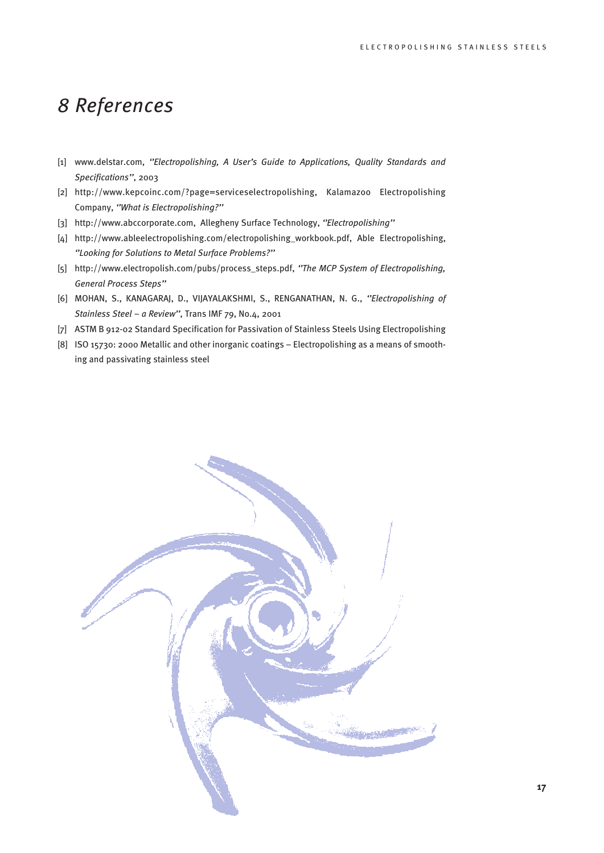# *8 References*

- [1] www.delstar.com, *''Electropolishing, A User's Guide to Applications, Quality Standards and Specifications''*, 2003
- [2] http://www.kepcoinc.com/?page=serviceselectropolishing, Kalamazoo Electropolishing Company, *''What is Electropolishing?''*
- [3] http://www.abccorporate.com, Allegheny Surface Technology, *''Electropolishing''*
- [4] http://www.ableelectropolishing.com/electropolishing\_workbook.pdf, Able Electropolishing, *''Looking for Solutions to Metal Surface Problems?''*
- [5] http://www.electropolish.com/pubs/process\_steps.pdf, *''The MCP System of Electropolishing, General Process Steps''*
- [6] MOHAN, S., KANAGARAJ, D., VIJAYALAKSHMI, S., RENGANATHAN, N. G., *''Electropolishing of Stainless Steel – a Review''*, Trans IMF 79, No.4, 2001
- [7] ASTM B 912-02 Standard Specification for Passivation of Stainless Steels Using Electropolishing
- [8] ISO 15730: 2000 Metallic and other inorganic coatings Electropolishing as a means of smoothing and passivating stainless steel